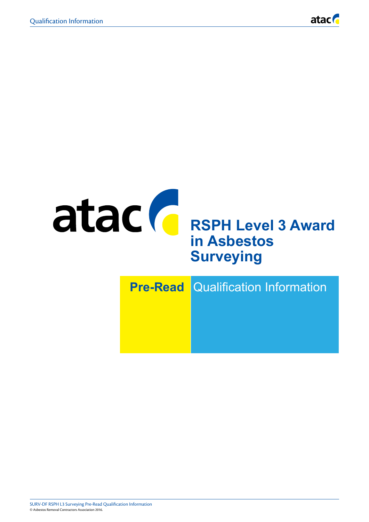

# atac **C** RSPH Level 3 Award **in Asbestos Surveying**

| <b>Pre-Read Qualification Information</b> |
|-------------------------------------------|
|                                           |
|                                           |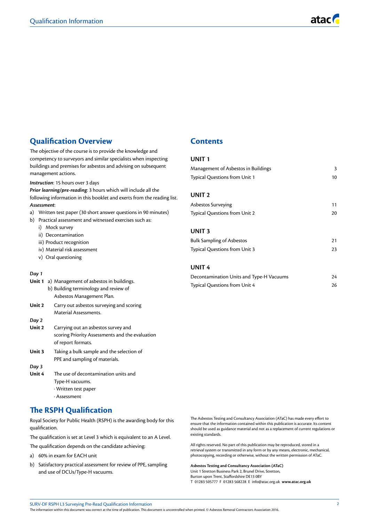## **Qualification Overview**

The objective of the course is to provide the knowledge and competency to surveyors and similar specialists when inspecting buildings and premises for asbestos and advising on subsequent management actions.

*Instruction*: 15 hours over 3 days

*Prior learning/pre-reading*: 3 hours which will include all the following information in this booklet and exerts from the reading list. *Assessment*:

- a) Written test paper (30 short answer questions in 90 minutes)
- b) Practical assessment and witnessed exercises such as:
	- i) Mock survey
	- ii) Decontamination
	- iii) Product recognition
	- iv) Material risk assessment
	- v) Oral questioning

#### *Day 1*

| <b>Unit 1</b> a) Management of asbestos in buildings. |
|-------------------------------------------------------|
| b) Building terminology and review of                 |
| Asbestos Management Plan.                             |

**Unit 2** Carry out asbestos surveying and scoring Material Assessments.

## *Day 2*

- **Unit 2** Carrying out an asbestos survey and scoring Priority Assessments and the evaluation of report formats.
- **Unit 3** Taking a bulk sample and the selection of PPE and sampling of materials.

## *Day 3*

**Unit 4** The use of decontamination units and Type-H vacuums. · Written test paper · Assessment

## **The RSPH Qualification**

Royal Society for Public Health (RSPH) is the awarding body for this qualification.

The qualification is set at Level 3 which is equivalent to an A Level.

The qualification depends on the candidate achieving:

- a) 60% in exam for EACH unit
- b) Satisfactory practical assessment for review of PPE, sampling and use of DCUs/Type-H vacuums.

## **Contents**

## **UNIT 1**

| Management of Asbestos in Buildings  | 3  |
|--------------------------------------|----|
| <b>Typical Questions from Unit 1</b> | 10 |
| UNIT <sub>2</sub>                    |    |
|                                      |    |
| Asbestos Surveying                   | 11 |
| Typical Questions from Unit 2        | 20 |
| <b>UNIT3</b>                         |    |
| <b>Bulk Sampling of Asbestos</b>     | 21 |
| Typical Questions from Unit 3        | 23 |
| <b>UNIT 4</b>                        |    |

| Decontamination Units and Type-H Vacuums | 24 |
|------------------------------------------|----|
| Typical Questions from Unit 4            | 26 |

The Asbestos Testing and Consultancy Association (ATaC) has made every effort to ensure that the information contained within this publication is accurate. Its content should be used as guidance material and not as a replacement of current regulations or existing standards.

All rights reserved. No part of this publication may be reproduced, stored in a retrieval system or transmitted in any form or by any means, electronic, mechanical, photocopying, recording or otherwise, without the written permission of ATaC.

**Asbestos Testing and Consultancy Association (ATaC)** Unit 1 Stretton Business Park 2, Brunel Drive, Stretton, Burton upon Trent, Staffordshire DE13 0BY T 01283 505777 F 01283 568228 E info@atac.org.uk **www.atac.org.uk**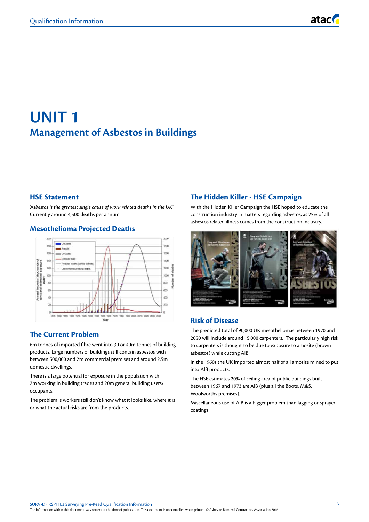## **UNIT 1 Management of Asbestos in Buildings**

## **HSE Statement**

*'Asbestos is the greatest single cause of work related deaths in the UK'.* Currently around 4,500 deaths per annum.

## **Mesothelioma Projected Deaths**



## **The Current Problem**

6m tonnes of imported fibre went into 30 or 40m tonnes of building products. Large numbers of buildings still contain asbestos with between 500,000 and 2m commercial premises and around 2.5m domestic dwellings.

There is a large potential for exposure in the population with 2m working in building trades and 20m general building users/ occupants.

The problem is workers still don't know what it looks like, where it is or what the actual risks are from the products.

## **The Hidden Killer - HSE Campaign**

With the Hidden Killer Campaign the HSE hoped to educate the construction industry in matters regarding asbestos, as 25% of all asbestos related illness comes from the construction industry.



## **Risk of Disease**

The predicted total of 90,000 UK mesotheliomas between 1970 and 2050 will include around 15,000 carpenters. The particularly high risk to carpenters is thought to be due to exposure to amosite (brown asbestos) while cutting AIB.

In the 1960s the UK imported almost half of all amosite mined to put into AIB products.

The HSE estimates 20% of ceiling area of public buildings built between 1967 and 1973 are AIB (plus all the Boots, M&S, Woolworths premises).

Miscellaneous use of AIB is a bigger problem than lagging or sprayed coatings.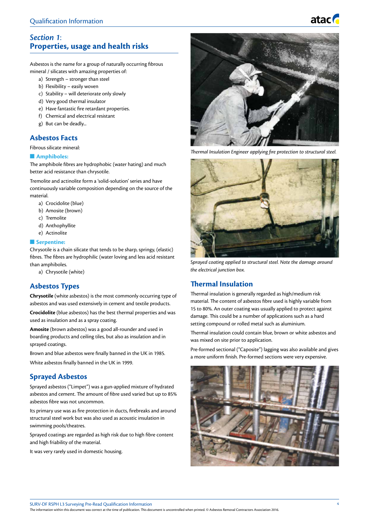## *Section 1*: **Properties, usage and health risks**

Asbestos is the name for a group of naturally occurring fibrous mineral / silicates with amazing properties of:

- a) Strength stronger than steel
- b) Flexibility easily woven
- c) Stability will deteriorate only slowly
- d) Very good thermal insulator
- e) Have fantastic fire retardant properties.
- f) Chemical and electrical resistant
- g) But can be deadly...

## **Asbestos Facts**

Fibrous silicate mineral:

#### $\blacksquare$  Amphiboles:

The amphibole fibres are hydrophobic (water hating) and much better acid resistance than chrysotile.

Tremolite and actinolite form a 'solid-solution' series and have continuously variable composition depending on the source of the material.

- a) Crocidolite (blue)
- b) Amosite (brown)
- c) Tremolite
- d) Anthophyllite
- e) Actinolite

#### **n** Serpentine:

Chrysotile is a chain silicate that tends to be sharp, springy, (elastic) fibres. The fibres are hydrophilic (water loving and less acid resistant than amphiboles.

a) Chrysotile (white)

## **Asbestos Types**

**Chrysotile** (white asbestos) is the most commonly occurring type of asbestos and was used extensively in cement and textile products.

**Crocidolite** (blue asbestos) has the best thermal properties and was used as insulation and as a spray coating.

**Amosite** (brown asbestos) was a good all-rounder and used in boarding products and ceiling tiles, but also as insulation and in sprayed coatings.

Brown and blue asbestos were finally banned in the UK in 1985.

White asbestos finally banned in the UK in 1999.

## **Sprayed Asbestos**

Sprayed asbestos ("Limpet") was a gun-applied mixture of hydrated asbestos and cement. The amount of fibre used varied but up to 85% asbestos fibre was not uncommon.

Its primary use was as fire protection in ducts, firebreaks and around structural steel work but was also used as acoustic insulation in swimming pools/theatres.

Sprayed coatings are regarded as high risk due to high fibre content and high friability of the material.

It was very rarely used in domestic housing.



atac

*Thermal Insulation Engineer applying fire protection to structural steel.*



*Sprayed coating applied to structural steel. Note the damage around the electrical junction box.*

## **Thermal Insulation**

Thermal insulation is generally regarded as high/medium risk material. The content of asbestos fibre used is highly variable from 15 to 80%. An outer coating was usually applied to protect against damage. This could be a number of applications such as a hard setting compound or rolled metal such as aluminium.

Thermal insulation could contain blue, brown or white asbestos and was mixed on site prior to application.

Pre-formed sectional ("Caposite") lagging was also available and gives a more uniform finish. Pre-formed sections were very expensive.

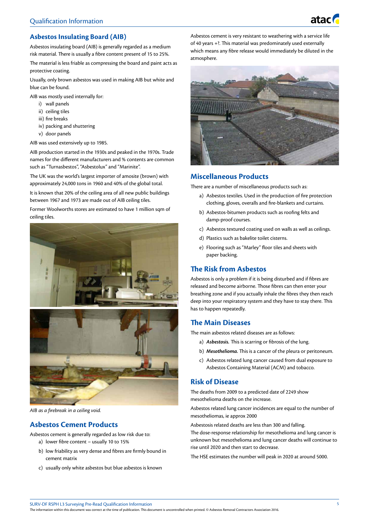

## **Asbestos Insulating Board (AIB)**

Asbestos insulating board (AIB) is generally regarded as a medium risk material. There is usually a fibre content present of 15 to 25%.

The material is less friable as compressing the board and paint acts as protective coating.

Usually, only brown asbestos was used in making AIB but white and blue can be found.

AIB was mostly used internally for:

- i) wall panels
- ii) ceiling tiles
- iii) fire breaks
- iv) packing and shuttering
- v) door panels

AIB was used extensively up to 1985.

AIB production started in the 1930s and peaked in the 1970s. Trade names for the different manufacturers and % contents are common such as "Turnasbestos", "Asbestolux" and "Marinite".

The UK was the world's largest importer of amosite (brown) with approximately 24,000 tons in 1960 and 40% of the global total.

It is known that 20% of the ceiling area of all new public buildings between 1967 and 1973 are made out of AIB ceiling tiles.

Former Woolworths stores are estimated to have 1 million sqm of ceiling tiles.



*AIB as a firebreak in a ceiling void.*

#### **Asbestos Cement Products**

Asbestos cement is generally regarded as low risk due to: a) lower fibre content – usually 10 to 15%

- b) low friability as very dense and fibres are firmly bound in cement matrix
- c) usually only white asbestos but blue asbestos is known

Asbestos cement is very resistant to weathering with a service life of 40 years +?. This material was predominately used externally which means any fibre release would immediately be diluted in the atmosphere.



## **Miscellaneous Products**

There are a number of miscellaneous products such as:

- a) Asbestos textiles. Used in the production of fire protection clothing, gloves, overalls and fire-blankets and curtains.
- b) Asbestos-bitumen products such as roofing felts and damp-proof courses.
- c) Asbestos textured coating used on walls as well as ceilings.
- d) Plastics such as bakelite toilet cisterns.
- e) Flooring such as "Marley" floor tiles and sheets with paper backing.

## **The Risk from Asbestos**

Asbestos is only a problem if it is being disturbed and if fibres are released and become airborne. Those fibres can then enter your breathing zone and if you actually inhale the fibres they then reach deep into your respiratory system and they have to stay there. This has to happen repeatedly.

#### **The Main Diseases**

The main asbestos related diseases are as follows:

- a) *Asbestosis.* This is scarring or fibrosis of the lung.
- b) *Mesothelioma.* This is a cancer of the pleura or peritoneum.
- c) Asbestos related lung cancer caused from dual exposure to Asbestos Containing Material (ACM) and tobacco.

## **Risk of Disease**

The deaths from 2009 to a predicted date of 2249 show mesothelioma deaths on the increase.

Asbestos related lung cancer incidences are equal to the number of mesotheliomas, ie approx 2000

Asbestosis related deaths are less than 300 and falling.

The dose-response relationship for mesothelioma and lung cancer is unknown but mesothelioma and lung cancer deaths will continue to rise until 2020 and then start to decrease.

The HSE estimates the number will peak in 2020 at around 5000.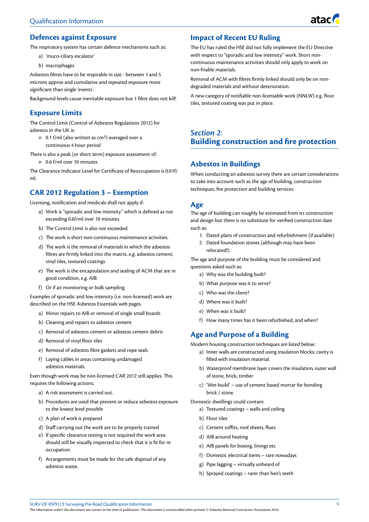

## **Defences against Exposure**

The respiratory system has certain defence mechanisms such as:

- a) 'muco-ciliary escalator'
- b) macrophages

Asbestos fibres have to be respirable in size - between 1 and 5 microns approx and cumulative and repeated exposure more significant than single 'events'.

Background levels cause inevitable exposure but 1 fibre does not kill!

## **Exposure Limits**

The Control Limit (Control of Asbestos Regulations 2012) for asbestos in the UK is:

n 0.1 f/ml (also written as cm3) averaged over a continuous 4 hour period

There is also a peak (or short term) exposure assessment of: n 0.6 f/ml over 10 minutes

The Clearance Indicator Level for Certificate of Reoccupation is 0.01f/ ml.

## **CAR 2012 Regulation 3 – Exemption**

Licensing, notification and medicals shall not apply if:

- a) Work is "sporadic and low intensity" which is defined as not exceeding 0.6f/ml over 10 minutes.
- b) The Control Limit is also not exceeded
- c) The work is short non-continuous maintenance activities.
- d) The work is the removal of materials in which the asbestos fibres are firmly linked into the matrix, e.g. asbestos cement, vinyl tiles, textured coatings
- e) The work is the encapsulation and sealing of ACM that are in good condition, e.g. AIB
- f) Or if air monitoring or bulk sampling

Examples of sporadic and low intensity (i.e. non-licensed) work are described on the HSE Asbestos Essentials web pages.

- a) Minor repairs to AIB or removal of single small boards
- b) Cleaning and repairs to asbestos cement
- c) Removal of asbestos cement or asbestos cement debris
- d) Removal of vinyl floor tiles
- e) Removal of asbestos fibre gaskets and rope seals
- f) Laying cables in areas containing undamaged asbestos materials.

Even though work may be non-licensed CAR 2012 still applies. This requires the following actions;

- a) A risk assessment is carried out.
- b) Procedures are used that prevent or reduce asbestos exposure to the lowest level possible
- c) A plan of work is prepared
- d) Staff carrying out the work are to be properly trained
- e) If specific clearance testing is not required the work area should still be visually inspected to check that it is fit for re occupation.
- f) Arrangements must be made for the safe disposal of any asbestos waste.

## **Impact of Recent EU Ruling**

The EU has ruled the HSE did not fully implement the EU Directive with respect to "sporadic and low intensity" work. Short noncontinuous maintenance activities should only apply to work on non-friable materials.

Removal of ACM with fibres firmly linked should only be on nondegraded materials and without deterioration.

A new category of notifiable non-licensable work (NNLW) e.g. floor tiles, textured coating was put in place.

## *Section 2*: **Building construction and fire protection**

## **Asbestos in Buildings**

When conducting an asbestos survey there are certain considerations to take into account such as the age of building, construction techniques, fire protection and building services.

## **Age**

The age of building can roughly be estimated from its construction and design but there is no substitute for verified construction date such as:

- 1. Dated plans of construction and refurbishment (if available)
- 2. Dated foundation stones (although may have been relocated!).

The age and purpose of the building must be considered and questions asked such as:

- a) Why was the building built?
- b) What purpose was it to serve?
- c) Who was the client?
- d) Where was it built?
- e) When was it built?
- f) How many times has it been refurbished, and when?

## **Age and Purpose of a Building**

Modern housing construction techniques are listed below:

- a) Inner walls are constructed using insulation blocks; cavity is filled with insulation material.
- b) Waterproof membrane layer covers the insulation, outer wall of stone, brick, timber
- c) 'Wet-build' use of cement based mortar for bonding brick / stone.

#### Domestic dwellings could contain:

- a) Textured coatings walls and ceiling
- b) Floor tiles
- c) Cement soffits, roof sheets, flues
- d) AIB around heating
- e) AIB panels for boxing, linings etc
- f) Domestic electrical items rare nowadays
- g) Pipe lagging virtually unheard of
- h) Sprayed coatings rarer than hen's teeth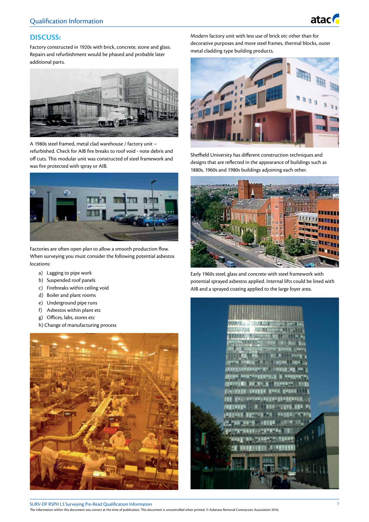

## **DISCUSS:**

Factory constructed in 1920s with brick, concrete, stone and glass. Repairs and refurbishment would be phased and probable later additional parts.



A 1980s steel framed, metal clad warehouse / factory unit – refurbished. Check for AIB fire breaks to roof void - note debris and off cuts. This modular unit was constructed of steel framework and was fire protected with spray or AIB.



Factories are often open plan to allow a smooth production flow. When surveying you must consider the following potential asbestos locations:

- a) Lagging to pipe work
- b) Suspended roof panels
- c) Firebreaks within ceiling void
- d) Boiler and plant rooms
- e) Underground pipe runs
- f) Asbestos within plant etc
- g) Offices, labs, stores etc
- h) Change of manufacturing process



Modern factory unit with less use of brick etc other than for decorative purposes and more steel frames, thermal blocks, outer metal cladding type building products.



Sheffield University has different construction techniques and designs that are reflected in the appearance of buildings such as 1880s, 1960s and 1980s buildings adjoining each other.



Early 1960s steel, glass and concrete with steel framework with potential sprayed asbestos applied. Internal lifts could be lined with AIB and a sprayed coating applied to the large foyer area.

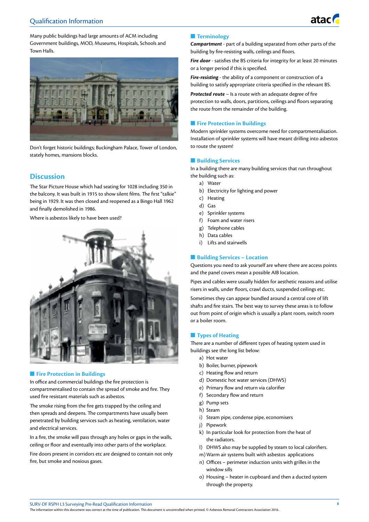

Many public buildings had large amounts of ACM including Government buildings, MOD, Museums, Hospitals, Schools and Town Halls.



Don't forget historic buildings; Buckingham Palace, Tower of London, stately homes, mansions blocks.

## **Discussion**

The Star Picture House which had seating for 1028 including 350 in the balcony. It was built in 1915 to show silent films. The first "talkie" being in 1929. It was then closed and reopened as a Bingo Hall 1962 and finally demolished in 1986.

Where is asbestos likely to have been used?



#### **n** Fire Protection in Buildings

In office and commercial buildings the fire protection is compartmentalised to contain the spread of smoke and fire. They used fire resistant materials such as asbestos.

The smoke rising from the fire gets trapped by the ceiling and then spreads and deepens. The compartments have usually been penetrated by building services such as heating, ventilation, water and electrical services.

In a fire, the smoke will pass through any holes or gaps in the walls, ceiling or floor and eventually into other parts of the workplace.

Fire doors present in corridors etc are designed to contain not only fire, but smoke and noxious gases.

#### **n** Terminology

*Compartment* - part of a building separated from other parts of the building by fire-resisting walls, ceilings and floors.

*Fire door* - satisfies the BS criteria for integrity for at least 20 minutes or a longer period if this is specified.

*Fire-resisting* - the ability of a component or construction of a building to satisfy appropriate criteria specified in the relevant BS.

*Protected route* – Is a route with an adequate degree of fire protection to walls, doors, partitions, ceilings and floors separating the route from the remainder of the building.

#### **n** Fire Protection in Buildings

Modern sprinkler systems overcome need for compartmentalisation. Installation of sprinkler systems will have meant drilling into asbestos to route the system!

#### **n** Building Services

In a building there are many building services that run throughout the building such as:

- a) Water
- b) Electricity for lighting and power
- c) Heating
- d) Gas
- e) Sprinkler systems
- f) Foam and water risers
- g) Telephone cables
- h) Data cables
- i) Lifts and stairwells

#### **n** Building Services – Location

Questions you need to ask yourself are where there are access points and the panel covers mean a possible AIB location.

Pipes and cables were usually hidden for aesthetic reasons and utilise risers in walls, under floors, crawl ducts, suspended ceilings etc.

Sometimes they can appear bundled around a central core of lift shafts and fire stairs. The best way to survey these areas is to follow out from point of origin which is usually a plant room, switch room or a boiler room.

#### **n** Types of Heating

There are a number of different types of heating system used in buildings see the long list below:

- a) Hot water
- b) Boiler, burner, pipework
- c) Heating flow and return
- d) Domestic hot water services (DHWS)
- e) Primary flow and return via calorifier
- f) Secondary flow and return
- g) Pump sets
- h) Steam
- i) Steam pipe, condense pipe, economisers
- j) Pipework
- k) In particular look for protection from the heat of the radiators.
- l) DHWS also may be supplied by steam to local calorifiers.
- m)Warm air systems built with asbestos applications
- n) Offices perimeter induction units with grilles in the window sills
- o) Housing heater in cupboard and then a ducted system through the property.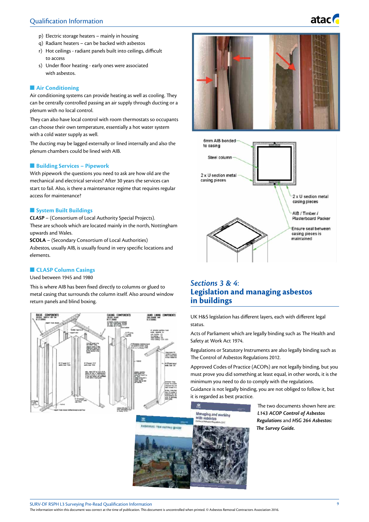- p) Electric storage heaters mainly in housing
- q) Radiant heaters can be backed with asbestos
- r) Hot ceilings radiant panels built into ceilings, difficult to access
- s) Under floor heating early ones were associated with asbestos.

#### **n** Air Conditioning

Air conditioning systems can provide heating as well as cooling. They can be centrally controlled passing an air supply through ducting or a plenum with no local control.

They can also have local control with room thermostats so occupants can choose their own temperature, essentially a hot water system with a cold water supply as well.

The ducting may be lagged externally or lined internally and also the plenum chambers could be lined with AIB.

#### $\blacksquare$  Building Services – Pipework

With pipework the questions you need to ask are how old are the mechanical and electrical services? After 30 years the services can start to fail. Also, is there a maintenance regime that requires regular access for maintenance?

#### **n** System Built Buildings

*CLASP* – (Consortium of Local Authority Special Projects). These are schools which are located mainly in the north, Nottingham upwards and Wales.

**SCOLA** – (Secondary Consortium of Local Authorities) Asbestos, usually AIB, is usually found in very specific locations and elements.

#### **n CLASP Column Casings**

Used between 1945 and 1980

This is where AIB has been fixed directly to columns or glued to metal casing that surrounds the column itself. Also around window return panels and blind boxing.





atac **G** 



## *Sections 3 & 4*: **Legislation and managing asbestos in buildings**

UK H&S legislation has different layers, each with different legal status.

Acts of Parliament which are legally binding such as The Health and Safety at Work Act 1974.

Regulations or Statutory Instruments are also legally binding such as The Control of Asbestos Regulations 2012.

Approved Codes of Practice (ACOPs) are not legally binding, but you must prove you did something at least equal, in other words, it is the minimum you need to do to comply with the regulations.

Guidance is not legally binding, you are not obliged to follow it, but it is regarded as best practice.

aging and working

The two documents shown here are: *L143 ACOP Control of Asbestos Regulations* and *HSG 264 Asbestos: The Survey Guide.*



SURV-DF RSPH L3 Surveying Pre-Read Qualification Information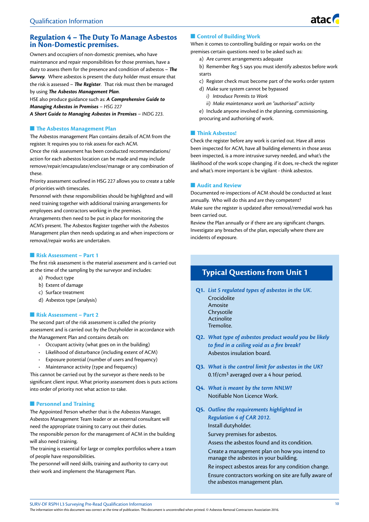## **Regulation 4 – The Duty To Manage Asbestos in Non-Domestic premises.**

Owners and occupiers of non-domestic premises, who have maintenance and repair responsibilities for those premises, have a duty to assess them for the presence and condition of asbestos – *The Survey.* Where asbestos is present the duty holder must ensure that the risk is assessed – *The Register.* That risk must then be managed by using *The Asbestos Management Plan*.

HSE also produce guidance such as: *A Comprehensive Guide to Managing Asbestos in Premises* – *HSG 227*

*A Short Guide to Managing Asbestos in Premises* – *INDG 223*.

#### **n** The Asbestos Management Plan

The Asbestos management Plan contains details of ACM from the register. It requires you to risk assess for each ACM.

Once the risk assessment has been conducted recommendations/ action for each asbestos location can be made and may include remove/repair/encapsulate/enclose/manage or any combination of these.

Priority assessment outlined in HSG 227 allows you to create a table of priorities with timescales.

Personnel with these responsibilities should be highlighted and will need training together with additional training arrangements for employees and contractors working in the premises.

Arrangements then need to be put in place for monitoring the ACM's present. The Asbestos Register together with the Asbestos Management plan then needs updating as and when inspections or removal/repair works are undertaken.

#### **n** Risk Assessment – Part 1

The first risk assessment is the material assessment and is carried out at the time of the sampling by the surveyor and includes:

- a) Product type
- b) Extent of damage
- c) Surface treatment
- d) Asbestos type (analysis)

#### **n** Risk Assessment – Part 2

The second part of the risk assessment is called the priority assessment and is carried out by the Dutyholder in accordance with the Management Plan and contains details on:

- **·** Occupant activity (what goes on in the building)
- **·** Likelihood of disturbance (including extent of ACM)
- **·** Exposure potential (number of users and frequency)
- **·** Maintenance activity (type and frequency)

This cannot be carried out by the surveyor as there needs to be significant client input. What priority assessment does is puts actions into order of priority not what action to take.

#### **n** Personnel and Training

The Appointed Person whether that is the Asbestos Manager, Asbestos Management Team leader or an external consultant will need the appropriate training to carry out their duties.

The responsible person for the management of ACM in the building will also need training.

The training is essential for large or complex portfolios where a team of people have responsibilities.

The personnel will need skills, training and authority to carry out their work and implement the Management Plan.

#### **n** Control of Building Work

When it comes to controlling building or repair works on the premises certain questions need to be asked such as:

a) Are current arrangements adequate

b) Remember Reg 5 says you must identify asbestos before work starts

- c) Register check must become part of the works order system
- d) Make sure system cannot be bypassed
	- *i) Introduce Permits to Work*
	- *ii) Make maintenance work an "authorised" activity*

e) Include anyone involved in the planning, commissioning, procuring and authorising of work.

#### **n** Think Asbestos!

Check the register before any work is carried out. Have all areas been inspected for ACM, have all building elements in those areas been inspected, is a more intrusive survey needed, and what's the likelihood of the work scope changing. if it does, re-check the register and what's more important is be vigilant - think asbestos.

#### **N** Audit and Review

Documented re-inspections of ACM should be conducted at least annually. Who will do this and are they competent? Make sure the register is updated after removal/remedial work has been carried out.

Review the Plan annually or if there are any significant changes. Investigate any breaches of the plan, especially where there are incidents of exposure.

## **Typical Questions from Unit 1**

**Q1.** *List 5 regulated types of asbestos in the UK.*

- Crocidolite Amosite Chrysotile
- Actinolite
- Tremolite.
- **Q2.** *What type of asbestos product would you be likely to find in a ceiling void as a fire break?* Asbestos insulation board.
- **Q3.** *What is the control limit for asbestos in the UK?* 0.1f/cm3 averaged over a 4 hour period.
- **Q4.** *What is meant by the term NNLW?* Notifiable Non Licence Work.
- **Q5.** *Outline the requirements highlighted in Regulation 4 of CAR 2012.* Install dutyholder. Survey premises for asbestos.
	- Assess the asbestos found and its condition.

Create a management plan on how you intend to manage the asbestos in your building.

Re inspect asbestos areas for any condition change. Ensure contractors working on site are fully aware of the asbestos management plan.

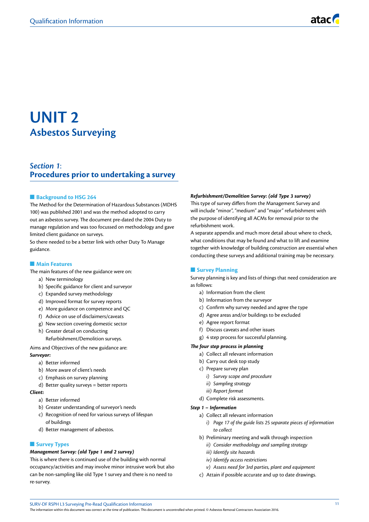## **UNIT 2 Asbestos Surveying**

## *Section 1*: **Procedures prior to undertaking a survey**

#### **Background to HSG 264**

The Method for the Determination of Hazardous Substances (MDHS 100) was published 2001 and was the method adopted to carry out an asbestos survey. The document pre-dated the 2004 Duty to manage regulation and was too focussed on methodology and gave limited client guidance on surveys.

So there needed to be a better link with other Duty To Manage guidance.

#### **n** Main Features

- The main features of the new guidance were on:
	- a) New terminology
	- b) Specific guidance for client and surveyor
	- c) Expanded survey methodology
	- d) Improved format for survey reports
	- e) More guidance on competence and QC
	- f) Advice on use of disclaimers/caveats
	- g) New section covering domestic sector
	- h) Greater detail on conducting

Refurbishment/Demolition surveys.

Aims and Objectives of the new guidance are:

### *Surveyor:*

- a) Better informed
- b) More aware of client's needs
- c) Emphasis on survey planning
- d) Better quality surveys = better reports

#### *Client:*

- a) Better informed
- b) Greater understanding of surveyor's needs
- c) Recognition of need for various surveys of lifespan of buildings
- d) Better management of asbestos.

#### **n** Survey Types

#### *Management Survey: (old Type 1 and 2 survey)*

This is where there is continued use of the building with normal occupancy/activities and may involve minor intrusive work but also can be non-sampling like old Type 1 survey and there is no need to re-survey.

#### *Refurbishment/Demolition Survey: (old Type 3 survey)*

This type of survey differs from the Management Survey and will include "minor", "medium" and "major" refurbishment with the purpose of identifying all ACMs for removal prior to the refurbishment work.

A separate appendix and much more detail about where to check, what conditions that may be found and what to lift and examine together with knowledge of building construction are essential when conducting these surveys and additional training may be necessary.

#### **n** Survey Planning

Survey planning is key and lists of things that need consideration are as follows:

- a) Information from the client
- b) Information from the surveyor
- c) Confirm why survey needed and agree the type
- d) Agree areas and/or buildings to be excluded
- e) Agree report format
- f) Discuss caveats and other issues
- g) 4 step process for successful planning.

#### *The four step process in planning*

- a) Collect all relevant information
- b) Carry out desk top study
- c) Prepare survey plan
	- *i) Survey scope and procedure*
	- *ii) Sampling strategy*
	- *iii) Report format*
- d) Complete risk assessments.

#### *Step 1 – Information*

- a) Collect all relevant information
	- *i) Page 17 of the guide lists 25 separate pieces of information to collect*
- b) Preliminary meeting and walk through inspection
	- *ii) Consider methodology and sampling strategy*
	- *iii) Identify site hazards*
	- *iv) Identify access restrictions*
- *v) Assess need for 3rd parties, plant and equipment*
- c) Attain if possible accurate and up to date drawings.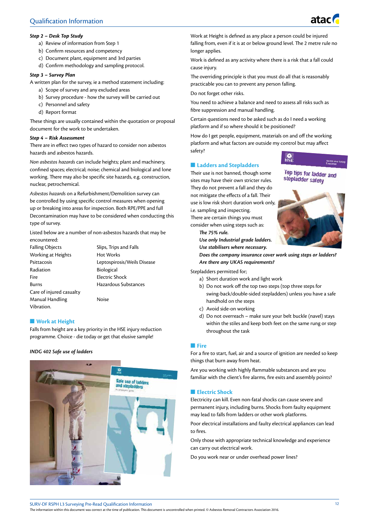

- a) Review of information from Step 1
- b) Confirm resources and competency
- c) Document plant, equipment and 3rd parties
- d) Confirm methodology and sampling protocol.

#### *Step 3 – Survey Plan*

A written plan for the survey, ie a method statement including:

- a) Scope of survey and any excluded areas
- b) Survey procedure how the survey will be carried out
- c) Personnel and safety
- d) Report format

These things are usually contained within the quotation or proposal document for the work to be undertaken.

#### *Step 4 – Risk Assessment*

There are in effect two types of hazard to consider non asbestos hazards and asbestos hazards.

*Non asbestos hazards* can include heights; plant and machinery, confined spaces; electrical; noise; chemical and biological and lone working. There may also be specific site hazards, e.g. construction, nuclear, petrochemical.

*Asbestos hazards* on a Refurbishment/Demolition survey can be controlled by using specific control measures when opening up or breaking into areas for inspection. Both RPE/PPE and full Decontamination may have to be considered when conducting this type of survey.

Listed below are a number of non-asbestos hazards that may be encountered:

| <b>Falling Objects</b>   | Slips, Trips and Falls      |
|--------------------------|-----------------------------|
| Working at Heights       | <b>Hot Works</b>            |
| Psittacosis              | Leptospirosis/Weils Disease |
| Radiation                | <b>Biological</b>           |
| Fire                     | Electric Shock              |
| Burns                    | Hazardous Substances        |
| Care of injured casualty |                             |
| Manual Handling          | Noise                       |
| Vibration.               |                             |

#### **Nork at Height**

Falls from height are a key priority in the HSE injury reduction programme. Choice - die today or get that elusive sample!

#### *INDG 402 Safe use of ladders*



Work at Height is defined as any place a person could be injured falling from, even if it is at or below ground level. The 2 metre rule no longer applies.

Work is defined as any activity where there is a risk that a fall could cause injury.

The overriding principle is that you must do all that is reasonably practicable you can to prevent any person falling.

Do not forget other risks.

You need to achieve a balance and need to assess all risks such as fibre suppression and manual handling.

Certain questions need to be asked such as do I need a working platform and if so where should it be positioned?

How do I get people, equipment, materials on and off the working platform and what factors are outside my control but may affect safety?

#### $\blacksquare$  **Ladders and Stepladders**

Their use is not banned, though some sites may have their own stricter rules. They do not prevent a fall and they do not mitigate the effects of a fall. Their use is low risk short duration work only, i.e. sampling and inspecting. There are certain things you must consider when using steps such as:

*The 75% rule. Use only Industrial grade ladders. Use stabilisers where necessary.*



Top tips for ladder and stepladder safety

*Does the company insurance cover work using steps or ladders? Are there any UKAS requirements?*

Stepladders permitted for;

- a) Short duration work and light work
- b) Do not work off the top two steps (top three steps for swing-back/double-sided stepladders) unless you have a safe handhold on the steps
- c) Avoid side-on working
- d) Do not overreach make sure your belt buckle (navel) stays within the stiles and keep both feet on the same rung or step throughout the task

#### n **Fire**

For a fire to start, fuel, air and a source of ignition are needed so keep things that burn away from heat.

Are you working with highly flammable substances and are you familiar with the client's fire alarms, fire exits and assembly points?

#### **n** Electric Shock

Electricity can kill. Even non-fatal shocks can cause severe and permanent injury, including burns. Shocks from faulty equipment may lead to falls from ladders or other work platforms.

Poor electrical installations and faulty electrical appliances can lead to fires.

Only those with appropriate technical knowledge and experience can carry out electrical work.

Do you work near or under overhead power lines?



atacı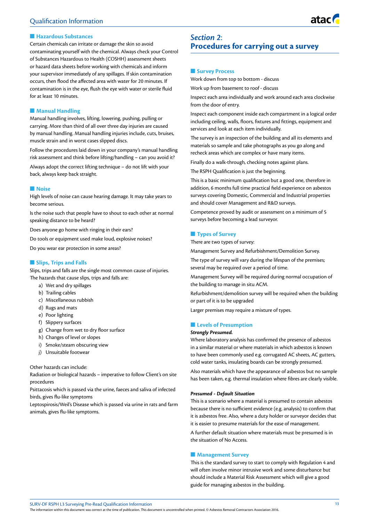#### $\blacksquare$  **Hazardous Substances**

Certain chemicals can irritate or damage the skin so avoid contaminating yourself with the chemical. Always check your Control of Substances Hazardous to Health (COSHH) assessment sheets or hazard data sheets before working with chemicals and inform your supervisor immediately of any spillages. If skin contamination occurs, then flood the affected area with water for 20 minutes. If contamination is in the eye, flush the eye with water or sterile fluid for at least 10 minutes.

#### **n** Manual Handling

Manual handling involves, lifting, lowering, pushing, pulling or carrying. More than third of all over three day injuries are caused by manual handling. Manual handling injuries include, cuts, bruises, muscle strain and in worst cases slipped discs.

Follow the procedures laid down in your company's manual handling risk assessment and think before lifting/handling – can you avoid it?

Always adopt the correct lifting technique – do not lift with your back, always keep back straight.

#### **Noise**

High levels of noise can cause hearing damage. It may take years to become serious.

Is the noise such that people have to shout to each other at normal speaking distance to be heard?

Does anyone go home with ringing in their ears?

Do tools or equipment used make loud, explosive noises?

Do you wear ear protection in some areas?

#### **n** Slips, Trips and Falls

Slips, trips and falls are the single most common cause of injuries. The hazards that cause slips, trips and falls are:

- a) Wet and dry spillages
- b) Trailing cables
- c) Miscellaneous rubbish
- d) Rugs and mats
- e) Poor lighting
- f) Slippery surfaces
- g) Change from wet to dry floor surface
- h) Changes of level or slopes
- i) Smoke/steam obscuring view
- j) Unsuitable footwear

#### Other hazards can include:

Radiation or biological hazards – imperative to follow Client's on site procedures

Psittacosis which is passed via the urine, faeces and saliva of infected birds, gives flu-like symptoms

Leptospirosis/Weil's Disease which is passed via urine in rats and farm animals, gives flu-like symptoms.

## *Section 2*: **Procedures for carrying out a survey**

#### **n** Survey Process

Work down from top to bottom - discuss

Work up from basement to roof - discuss

Inspect each area individually and work around each area clockwise from the door of entry.

Inspect each component inside each compartment in a logical order including ceiling, walls, floors, fixtures and fittings, equipment and services and look at each item individually.

The survey is an inspection of the building and all its elements and materials so sample and take photographs as you go along and recheck areas which are complex or have many items.

Finally do a walk-through, checking notes against plans.

The RSPH Qualification is just the beginning.

This is a basic minimum qualification but a good one, therefore in addition, 6 months full time practical field experience on asbestos surveys covering Domestic, Commercial and Industrial properties and should cover Management and R&D surveys.

Competence proved by audit or assessment on a minimum of 5 surveys before becoming a lead surveyor.

#### **n** Types of Survey

There are two types of survey:

Management Survey and Refurbishment/Demolition Survey.

The type of survey will vary during the lifespan of the premises; several may be required over a period of time.

Management Survey will be required during normal occupation of the building to manage in situ ACM.

Refurbishment/demolition survey will be required when the building or part of it is to be upgraded

Larger premises may require a mixture of types.

#### **n** Levels of Presumption

#### *Strongly Presumed.*

Where laboratory analysis has confirmed the presence of asbestos in a similar material or where materials in which asbestos is known to have been commonly used e.g. corrugated AC sheets, AC gutters, cold water tanks, insulating boards can be strongly presumed.

Also materials which have the appearance of asbestos but no sample has been taken, e.g. thermal insulation where fibres are clearly visible.

#### *Presumed - Default Situation*

This is a scenario where a material is presumed to contain asbestos because there is no sufficient evidence (e.g. analysis) to confirm that it is asbestos free. Also, where a duty holder or surveyor decides that it is easier to presume materials for the ease of management.

A further default situation where materials must be presumed is in the situation of No Access.

#### **n** Management Survey

This is the standard survey to start to comply with Regulation 4 and will often involve minor intrusive work and some disturbance but should include a Material Risk Assessment which will give a good guide for managing asbestos in the building.

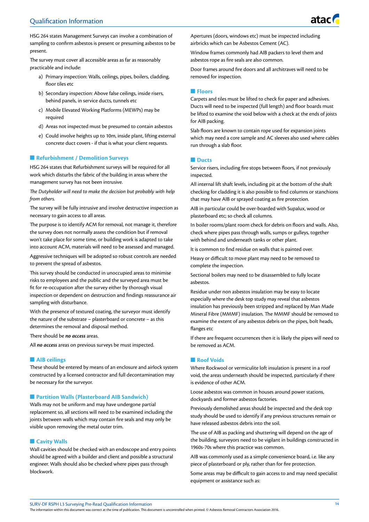

HSG 264 states Management Surveys can involve a combination of sampling to confirm asbestos is present or presuming asbestos to be present.

The survey must cover all accessible areas as far as reasonably practicable and include:

- a) Primary inspection: Walls, ceilings, pipes, boilers, cladding, floor tiles etc
- b) Secondary inspection: Above false ceilings, inside risers, behind panels, in service ducts, tunnels etc
- c) Mobile Elevated Working Platforms (MEWPs) may be required
- d) Areas not inspected must be presumed to contain asbestos
- e) Could involve heights up to 10m, inside plant, lifting external concrete duct covers - if that is what your client requests.

#### **n** Refurbishment / Demolition Surveys

HSG 264 states that Refurbishment surveys will be required for all work which disturbs the fabric of the building in areas where the management survey has not been intrusive.

*The Dutyholder will need to make the decision but probably with help from others.*

The survey will be fully intrusive and involve destructive inspection as necessary to gain access to all areas.

The purpose is to identify ACM for removal, not manage it, therefore the survey does not normally assess the condition but if removal won't take place for some time, or building work is adapted to take into account ACM, materials will need to be assessed and managed.

Aggressive techniques will be adopted so robust controls are needed to prevent the spread of asbestos.

This survey should be conducted in unoccupied areas to minimise risks to employees and the public and the surveyed area must be fit for re-occupation after the survey either by thorough visual inspection or dependent on destruction and findings reassurance air sampling with disturbance.

With the presence of textured coating, the surveyor must identify the nature of the substrate – plasterboard or concrete – as this determines the removal and disposal method.

There should be *no access* areas.

All *no access* areas on previous surveys be must inspected.

#### $\blacksquare$  AIB ceilings

These should be entered by means of an enclosure and airlock system constructed by a licensed contractor and full decontamination may be necessary for the surveyor.

#### ■ Partition Walls (Plasterboard AIB Sandwich)

Walls may not be uniform and may have undergone partial replacement so, all sections will need to be examined including the joints between walls which may contain fire seals and may only be visible upon removing the metal outer trim.

#### **n** Cavity Walls

Wall cavities should be checked with an endoscope and entry points should be agreed with a builder and client and possible a structural engineer. Walls should also be checked where pipes pass through blockwork.

Apertures (doors, windows etc) must be inspected including airbricks which can be Asbestos Cement (AC).

Window frames commonly had AIB packers to level them and asbestos rope as fire seals are also common.

Door frames around fire doors and all architraves will need to be removed for inspection.

#### n **Floors**

Carpets and tiles must be lifted to check for paper and adhesives. Ducts will need to be inspected (full length) and floor boards must be lifted to examine the void below with a check at the ends of joists for AIB packing.

Slab floors are known to contain rope used for expansion joints which may need a core sample and AC sleeves also used where cables run through a slab floor.

#### **n** Ducts

Service risers, including fire stops between floors, if not previously inspected.

All internal lift shaft levels, including pit at the bottom of the shaft checking for cladding it is also possible to find columns or stanchions that may have AIB or sprayed coating as fire protection.

AIB in particular could be over-boarded with Supalux, wood or plasterboard etc; so check all columns.

In boiler rooms/plant room check for debris on floors and walls. Also, check where pipes pass through walls, sumps or gulleys, together with behind and underneath tanks or other plant.

It is common to find residue on walls that is painted over.

Heavy or difficult to move plant may need to be removed to complete the inspection.

Sectional boilers may need to be disassembled to fully locate asbestos.

Residue under non asbestos insulation may be easy to locate especially where the desk top study may reveal that asbestos insulation has previously been stripped and replaced by Man Made Mineral Fibre (MMMF) insulation. The MMMF should be removed to examine the extent of any asbestos debris on the pipes, bolt heads, flanges etc

If there are frequent occurrences then it is likely the pipes will need to be removed as ACM.

#### **Noof Voids**

Where Rockwool or vermiculite loft insulation is present in a roof void, the areas underneath should be inspected, particularly if there is evidence of other ACM.

Loose asbestos was common in houses around power stations, dockyards and former asbestos factories.

Previously demolished areas should be inspected and the desk top study should be used to identify if any previous structures remain or have released asbestos debris into the soil.

The use of AIB as packing and shuttering will depend on the age of the building, surveyors need to be vigilant in buildings constructed in 1960s-70s where this practice was common.

AIB was commonly used as a simple convenience board, i.e. like any piece of plasterboard or ply, rather than for fire protection.

Some areas may be difficult to gain access to and may need specialist equipment or assistance such as: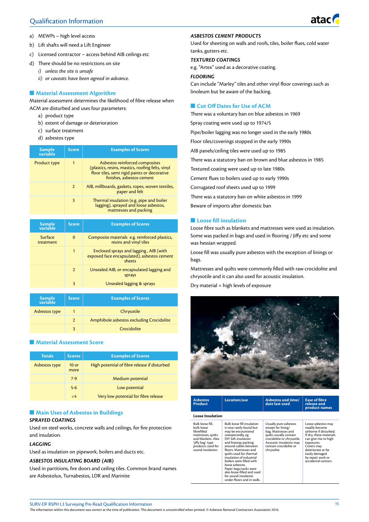## Qualification Information

atac

- a) MEWPs high level access
- b) Lift shafts will need a Lift Engineer
- c) Licensed contractor access behind AIB ceilings etc
- d) There should be no restrictions on site
	- *i) unless the site is unsafe* 
		- *ii) or caveats have been agreed in advance.*

#### **n** Material Assessment Algorithm

Material assessment determines the likelihood of fibre release when ACM are disturbed and uses four parameters:

- a) product type
- b) extent of damage or deterioration
- c) surface treatment
- d) asbestos type

| <b>Sample</b><br>variable | <b>Score</b>   | <b>Examples of Scores</b>                                                                                                                                       |
|---------------------------|----------------|-----------------------------------------------------------------------------------------------------------------------------------------------------------------|
| Product type              | 1              | Asbestos reinforced composites<br>(plastics, resins, mastics, roofing felts, vinyl<br>floor tiles, semi rigid paints or decorative<br>finishes, asbestos cement |
|                           | $\overline{2}$ | AIB, millboards, gaskets, ropes, woven textiles,<br>paper and felt                                                                                              |
|                           | 3              | Thermal insulation (e.g. pipe and boiler<br>lagging), sprayed and loose asbestos,<br>mattresses and packing                                                     |

| <b>Sample</b><br>variable | <b>Score</b>   | <b>Examples of Scores</b>                                                                       |
|---------------------------|----------------|-------------------------------------------------------------------------------------------------|
| Surface<br>treatment      | $\bf{0}$       | Composite materials e.g. reinforced plastics,<br>resins and vinyl tiles                         |
|                           | 1              | Enclosed sprays and lagging, AIB (with<br>exposed face encapsulated), asbestos cement<br>sheets |
|                           | $\overline{2}$ | Unsealed AIB, or encapsulated lagging and<br>sprays                                             |
|                           | 3              | Unsealed lagging & sprays                                                                       |

| Sample<br>variable | <b>Score</b>  | <b>Examples of Scores</b>                |
|--------------------|---------------|------------------------------------------|
| Asbestos type      |               | Chrysotile                               |
|                    | $\mathcal{P}$ | Amphibole asbestos excluding Crocidolite |
|                    |               | Crocidolite                              |

#### **n** Material Assessment Score

| <b>Totals</b> | <b>Scores</b>   | <b>Examples of Scores</b>                    |
|---------------|-----------------|----------------------------------------------|
| Asbestos type | $10$ or<br>more | High potential of fibre release if disturbed |
|               | $7-9$           | Medium potential                             |
|               | $5-6$           | Low potential                                |
|               | $\epsilon$ 4    | Very low potential for fibre release         |

#### $M$  **Main Uses of Asbestos in Buildings** *SPRAYED COATINGS*

Used on steel works, concrete walls and ceilings, for fire protection and insulation.

#### *LAGGING*

Used as insulation on pipework, boilers and ducts etc.

#### *ASBESTOS INSULATING BOARD (AIB)*

Used in partitions, fire doors and ceiling tiles. Common brand names are Asbestolux, Turnabestos, LDR and Marinite

#### *ASBESTOS CEMENT PRODUCTS*

Used for sheeting on walls and roofs, tiles, boiler flues, cold water tanks, gutters etc.

#### *TEXTURED COATINGS*

e.g. "Artex" used as a decorative coating.

#### *FLOORING*

Can include "Marley" tiles and other vinyl floor coverings such as linoleum but be aware of the backing.

#### **n** Cut Off Dates for Use of ACM

There was a voluntary ban on blue asbestos in 1969

Spray coating were used up to 1974/5

Pipe/boiler lagging was no longer used in the early 1980s

Floor tiles/coverings stopped in the early 1990s

AIB panels/ceiling tiles were used up to 1985

There was a statutory ban on brown and blue asbestos in 1985

Textured coating were used up to late 1980s

Cement flues to boilers used up to early 1990s

Corrugated roof sheets used up to 1999

There was a statutory ban on white asbestos in 1999

Beware of imports after domestic ban

#### $\blacksquare$  Loose fill insulation

Loose fibre such as blankets and mattresses were used as insulation. Some was packed in bags and used in flooring / Jiffy etc and some was hessian wrapped.

Loose fill was usually pure asbestos with the exception of linings or bags.

Mattresses and quilts were commonly filled with raw crocidolite and chrysotile and it can also used for acoustic insulation.

Dry material = high levels of exposure



| <b>Asbestos</b><br>Product                                                                                                                              | Location/use                                                                                                                                                                                                                                                                                                                                                                                                                | Asbestos and time/<br>date last used                                                                                                                                                           | <b>Ease of fibre</b><br>release and<br>product names                                                                                                                                                                              |
|---------------------------------------------------------------------------------------------------------------------------------------------------------|-----------------------------------------------------------------------------------------------------------------------------------------------------------------------------------------------------------------------------------------------------------------------------------------------------------------------------------------------------------------------------------------------------------------------------|------------------------------------------------------------------------------------------------------------------------------------------------------------------------------------------------|-----------------------------------------------------------------------------------------------------------------------------------------------------------------------------------------------------------------------------------|
| <b>Loose Insulation</b>                                                                                                                                 |                                                                                                                                                                                                                                                                                                                                                                                                                             |                                                                                                                                                                                                |                                                                                                                                                                                                                                   |
| Bulk loose fill.<br>bulk loose<br>fibrefilled<br>mattresses, quilts<br>and blankets. Also<br>ʻjiffy bagʻ type<br>products used for<br>sound insulation. | <b>Bulk loose fill insulation</b><br>is now rarely found but<br>may be encountered<br>unexpectedly, eg<br>DIY loft insulation<br>and firestop packing<br>around cables between<br>floors. Mattresses and<br>quilts used for thermal<br>insulation of industrial<br>boilers were filled with<br>loose asbestos.<br>Paper bags/sacks were<br>also loose-filled and used<br>for sound insulation<br>under floors and in walls. | Usually pure asbestos<br>except for lining/<br>bag. Mattresses and<br>quilts usually contain<br>crocidolite or chrysotile.<br>Acoustic insulation may<br>contain crocidolite or<br>chrysolite. | Loose asbestos may<br>readily become<br>airborne if disturbed.<br>If dry, these materials<br>can give rise to high<br>exposures.<br>Covers may<br>deteriorate or be<br>easily damaged<br>by repair work or<br>accidental contact. |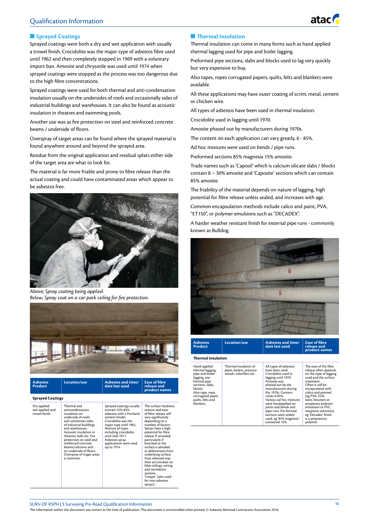## Qualification Information

#### **n** Sprayed Coatings

Sprayed coatings were both a dry and wet application with usually a trowel finish. Crocidolite was the major type of asbestos fibre used until 1962 and then completely stopped in 1969 with a voluntary import ban. Amosite and chrysotile was used until 1974 when sprayed coatings were stopped as the process was too dangerous due to the high fibre concentrations.

Sprayed coatings were used for both thermal and anti-condensation insulation usually on the undersides of roofs and occasionally sides of industrial buildings and warehouses. It can also be found as acoustic insulation in theatres and swimming pools.

Another use was as fire protection on steel and reinforced concrete beams / underside of floors.

Overspray of target areas can be found where the sprayed material is found anywhere around and beyond the sprayed area.

Residue from the original application and residual splats either side of the target area are what to look for.

The material is far more friable and prone to fibre release than the actual coating and could have contaminated areas which appear to be asbestos free.



*Above; Spray coating being applied. Below; Spray coat on a car park ceiling for fire protection.*



| <b>Asbestos</b><br>Product                        | Location/use                                                                                                                                                                                                                                                                                                                                    | Asbestos and time/<br>date last used                                                                                                                                                                                                                                  | <b>Ease of fibre</b><br>release and<br>product names                                                                                                                                                                                                                                                                                                                                                                                                                      |
|---------------------------------------------------|-------------------------------------------------------------------------------------------------------------------------------------------------------------------------------------------------------------------------------------------------------------------------------------------------------------------------------------------------|-----------------------------------------------------------------------------------------------------------------------------------------------------------------------------------------------------------------------------------------------------------------------|---------------------------------------------------------------------------------------------------------------------------------------------------------------------------------------------------------------------------------------------------------------------------------------------------------------------------------------------------------------------------------------------------------------------------------------------------------------------------|
| <b>Sprayed Coatings</b>                           |                                                                                                                                                                                                                                                                                                                                                 |                                                                                                                                                                                                                                                                       |                                                                                                                                                                                                                                                                                                                                                                                                                                                                           |
| Dry applied,<br>wet applied and<br>trowel finish. | Thermal and<br>anitcondensation<br>insulation on<br>underside of roofs<br>and sometimes sides<br>of industrial buildings<br>and warehouses.<br>Acoustic insulation in<br>theatres, halls etc. Fire<br>protection on steel and<br>reinforced concrete<br>beams/columns and<br>on underside of floors.<br>Overspray of traget areas<br>is common. | Sprayed coatings usually<br>contain 55%-85%<br>asbestos with a Portland<br>cement binder.<br>Crocidolite was the<br>major type until 1962.<br>Mixture of types<br>including crocidolite<br>until mid-1971.<br>Asbestos spray<br>applications were used<br>up to 1974. | The surface hardness.<br>texture and ease<br>of fibre release will<br>vary significantly<br>depending on a<br>number of factors.<br>Sprays have a high<br>potential for fibre<br>release if unsealed,<br>particularly if<br>knocked or the<br>surface is abraded<br>or delaminates from<br>underlying surface.<br>Dust released may<br>then accumulate on<br>false ceilings, wiring<br>and ventilation<br>systems.<br>'Limpet' (also used<br>for non-ashestos<br>sprays). |

#### **n** Thermal Insulation

Thermal insulation can come in many forms such as hand applied thermal lagging used for pipe and boiler lagging.

atac

Preformed pipe sections, slabs and blocks used to lag very quickly but very expensive to buy.

Also tapes, ropes corrugated papers, quilts, felts and blankets were available.

All these applications may have outer coating of scrim, metal, cement or chicken wire.

All types of asbestos have been used in thermal insulation.

Crocidolite used in lagging until 1970.

Amosite phased out by manufacturers during 1970s.

The content on each application can vary greatly, 6 - 85%.

Ad hoc mixtures were used on bends / pipe runs.

Preformed sections 85% magnesia 15% amosite.

Trade names such as 'Caposil' which is calcium silicate slabs / blocks contain 8 – 30% amosite and 'Caposite' sections which can contain 85% amosite.

The friability of the material depends on nature of lagging, high potential for fibre release unless sealed, and increases with age.

Common encapsulation methods include calico and paint, PVA, "ET150", or polymer emulsions such as "DECADEX".

A harder weather resistant finish for external pipe runs - commonly known as Bulldog.



| <b>Asbestos</b><br>Product                                                                                                                                                                    | Location/use                                                                  | Asbestos and time/<br>date last used                                                                                                                                                                                                                                                                                                                              | <b>Ease of fibre</b><br>release and<br>product names                                                                                                                                                                                                                                                                                          |
|-----------------------------------------------------------------------------------------------------------------------------------------------------------------------------------------------|-------------------------------------------------------------------------------|-------------------------------------------------------------------------------------------------------------------------------------------------------------------------------------------------------------------------------------------------------------------------------------------------------------------------------------------------------------------|-----------------------------------------------------------------------------------------------------------------------------------------------------------------------------------------------------------------------------------------------------------------------------------------------------------------------------------------------|
| <b>Thermal Insulation</b>                                                                                                                                                                     |                                                                               |                                                                                                                                                                                                                                                                                                                                                                   |                                                                                                                                                                                                                                                                                                                                               |
| Hand-applied<br>thermal lagging,<br>pipe and boiler<br>lagging, pre-<br>formed pipe<br>sections, slabs,<br>blocks.<br>Also tape, rope,<br>corrugated paper,<br>quilts, felts and<br>blankets. | Thermal insulation of<br>pipes, boilers, pressure<br>vessels, calorifiers etc | All types of asbestos<br>have been used.<br>Crocidolite used in<br>lagging until 1970.<br>Amosite was<br>phased out by the<br>manufacturers during<br>the 1970s. Content<br>varies 6-85%.<br>Various ad hoc mixtures<br>were handapplied on<br>joints and bends and<br>pipe runs. Pre-formed<br>sections were widely<br>used, eg '85% magnesia'<br>contained 15%. | The ease of the fibre<br>release often depends<br>on the type of lagging<br>used and the surface<br>treatment.<br>Often it will be<br>encapsulated with<br>calico and painted<br>(eg PVA, EVA,<br>latex. bitumen or<br>propietary polymer<br>emulsions or PVC,<br>neoprene solutions},<br>eg 'Decadex' finish<br>is a proprietory<br>polymer. |

SURV-DF RSPH L3 Surveying Pre-Read Qualification Information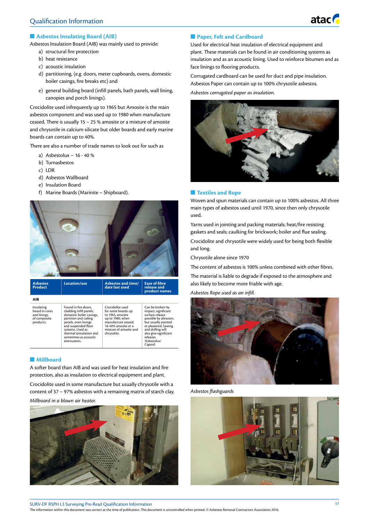#### $\blacksquare$  Asbestos Insulating Board (AIB)

Asbestos Insulation Board (AIB) was mainly used to provide:

- a) structural fire protection
- b) heat resistance
- c) acoustic insulation
- d) partitioning, (e.g. doors, meter cupboards, ovens, domestic boiler casings, fire breaks etc) and
- e) general building board (infill panels, bath panels, wall lining, canopies and porch linings).

Crocidolite used infrequently up to 1965 but Amosite is the main asbestos component and was used up to 1980 when manufacture ceased. There is usually 15 – 25 % amosite or a mixture of amosite and chrysotile in calcium silicate but older boards and early marine boards can contain up to 40%.

There are also a number of trade names to look out for such as

- a) Asbestolux 16 40 %
- b) Turnasbestos
- c) LDR
- d) Asbestos Wallboard
- e) Insulation Board
- f) Marine Boards (Marinite Shipboard).



| <b>Asbestos</b><br>Product                                               | Location/use                                                                                                                                                                                                                                | Asbestos and time/<br>date last used                                                                                                                                  | <b>Ease of fibre</b><br>release and<br>product names                                                                                                                                                                      |
|--------------------------------------------------------------------------|---------------------------------------------------------------------------------------------------------------------------------------------------------------------------------------------------------------------------------------------|-----------------------------------------------------------------------------------------------------------------------------------------------------------------------|---------------------------------------------------------------------------------------------------------------------------------------------------------------------------------------------------------------------------|
| AIB                                                                      |                                                                                                                                                                                                                                             |                                                                                                                                                                       |                                                                                                                                                                                                                           |
| Insulating<br>board in cores<br>and linings<br>of composite<br>products. | Found in fire doors.<br>cladding infill panels,<br>domestic boiler casings,<br>partition and cailing<br>panels, oven linings<br>and suspended floor<br>systems. Used as<br>thermal ionsulation and<br>sometimes as acoustic<br>attenuators. | Crocidolite used<br>for some boards up<br>to 1965, amosite<br>up to 1980, when<br>manufacture ceased.<br>16-40% amosite or a<br>mixture of amosite and<br>chrysolite. | Can be broken by<br>impact; significant<br>surface release<br>possible by abrasion,<br>but usually painted<br>or plastered. Sawing<br>and drilling will<br>also give significant<br>releases.<br>'Asbestolux'<br>Caposil. |

#### **Nillboard**

A softer board than AIB and was used for heat insulation and fire protection, also as insulation to electrical equipment and plant.

Crocidolite used in some manufacture but usually chrysotile with a content of 37 – 97% asbestos with a remaining matrix of starch clay.

#### *Millboard in a blown air heater.*



#### **n** Paper, Felt and Cardboard

Used for electrical heat insulation of electrical equipment and plant. These materials can be found in air conditioning systems as insulation and as an acoustic lining. Used to reinforce bitumen and as face linings to flooring products.

Corrugated cardboard can be used for duct and pipe insulation. Asbestos Paper can contain up to 100% chrysotile asbestos.

*Asbestos corrugated paper as insulation.*



#### **n** Textiles and Rope

Woven and spun materials can contain up to 100% asbestos. All three main types of asbestos used until 1970, since then only chrysotile used.

Yarns used in jointing and packing materials; heat/fire resisting gaskets and seals; caulking for brickwork; boiler and flue sealing.

Crocidolite and chrysotile were widely used for being both flexible and long.

Chrysotile alone since 1970

The content of asbestos is 100% unless combined with other fibres.

The material is liable to degrade if exposed to the atmosphere and also likely to become more friable with age.

*Asbestos Rope used as an infill.*



*Asbestos flashguards*

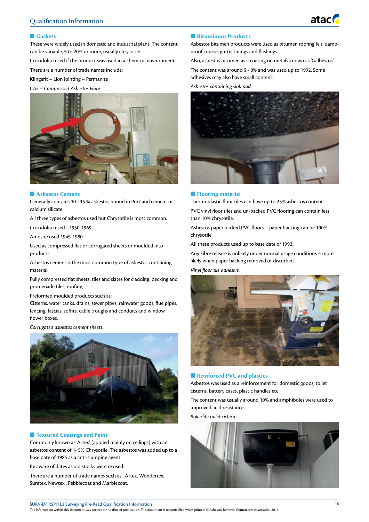

#### n **Gaskets**

These were widely used in domestic and industrial plant. The content can be variable, 5 to 20% or more, usually chrysotile.

Crocidolite used if the product was used in a chemical environment.

There are a number of trade names include;

Klingerit – Lion Jointing – Permanite

*CAF – Compressed Asbestos Fibre*



#### **n** Asbestos Cement

Generally contains 10 - 15 % asbestos bound in Portland cement or calcium silicate.

All three types of asbestos used but Chrysotile is most common.

Crocidolite used– 1950-1969

Amosite used 1945-1980

Used as compressed flat or corrugated sheets or moulded into products.

Asbestos cement is the most common type of asbestos containing material.

Fully compressed flat sheets, tiles and slates for cladding, decking and promenade tiles, roofing,

Preformed moulded products such as:

Cisterns, water tanks, drains, sewer pipes, rainwater goods, flue pipes, fencing, fascias, soffits, cable troughs and conduits and window flower boxes.

#### *Corrugated asbestos cement sheets.*



#### **n** Textured Coatings and Paint

Commonly known as 'Artex' (applied mainly on ceilings) with an asbestos content of 1- 5% Chrysotile. The asbestos was added up to a base date of 1984 as a anti-slumping agent.

Be aware of dates as old stocks were re used.

There are a number of trade names such as, Artex, Wondertex, Suretex, Newtex , Pebblecoat and Marblecoat.

#### **n** Bituminous Products

Asbestos bitumen products were used as bitumen roofing felt, dampproof course, gutter linings and flashings.

Also, asbestos bitumen as a coating on metals known as 'Galbestos'. The content was around 5 - 8% and was used up to 1992. Some adhesives may also have small content.

#### *Asbestos containing sink pad.*



#### **nFlooring material**

Thermoplastic floor tiles can have up to 25% asbestos content.

PVC vinyl floor tiles and un-backed PVC flooring can contain less than 10% chrysotile.

Asbestos paper backed PVC floors – paper backing can be 100% chrysotile.

All these products used up to base date of 1992.

Any Fibre release is unlikely under normal usage conditions – more likely when paper backing removed or disturbed.

#### *Vinyl floor tile adhesive.*



#### **n** Reinforced PVC and plastics

Asbestos was used as a reinforcement for domestic goods, toilet cisterns, battery cases, plastic handles etc.

The content was usually around 10% and amphiboles were used to improved acid resistance.

*Bakerlite toilet cistern.*



SURV-DF RSPH L3 Surveying Pre-Read Qualification Information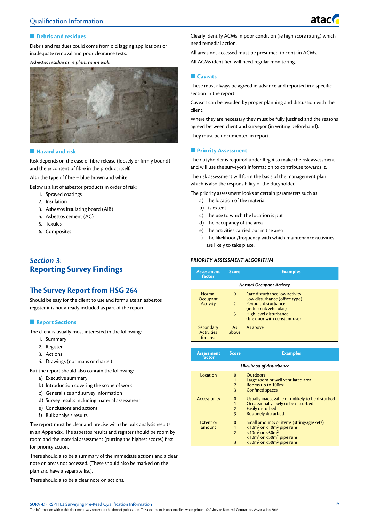

#### **n** Debris and residues

Debris and residues could come from old lagging applications or inadequate removal and poor clearance tests.

*Asbestos residue on a plant room wall.*



#### $\blacksquare$  **Hazard and risk**

Risk depends on the ease of fibre release (loosely or firmly bound) and the % content of fibre in the product itself.

Also the type of fibre – blue brown and white

Below is a list of asbestos products in order of risk:

- 1. Sprayed coatings
- 2. Insulation
- 3. Asbestos insulating board (AIB)
- 4. Asbestos cement (AC)
- 5. Textiles
- 6. Composites

## *Section 3*: **Reporting Survey Findings**

## **The Survey Report from HSG 264**

Should be easy for the client to use and formulate an asbestos register it is not already included as part of the report.

#### **n** Report Sections

The client is usually most interested in the following:

- 1. Summary
- 2. Register
- 3. Actions
- 4. Drawings (not maps or charts!)

But the report should also contain the following:

- a) Executive summary
- b) Introduction covering the scope of work
- c) General site and survey information
- d) Survey results including material assessment
- e) Conclusions and actions
- f) Bulk analysis results

The report must be clear and precise with the bulk analysis results in an Appendix. The asbestos results and register should be room by room and the material assessment (putting the highest scores) first for priority action.

There should also be a summary of the immediate actions and a clear note on areas not accessed. (These should also be marked on the plan and have a separate list).

There should also be a clear note on actions.

Clearly identify ACMs in poor condition (ie high score rating) which need remedial action.

All areas not accessed must be presumed to contain ACMs.

All ACMs identified will need regular monitoring.

#### **n** Caveats

These must always be agreed in advance and reported in a specific section in the report.

Caveats can be avoided by proper planning and discussion with the client.

Where they are necessary they must be fully justified and the reasons agreed between client and surveyor (in writing beforehand).

They must be documented in report.

#### **n** Priority Assessment

The dutyholder is required under Reg 4 to make the risk assessment and will use the surveyor's information to contribute towards it.

The risk assessment will form the basis of the management plan which is also the responsibility of the dutyholder.

The priority assessment looks at certain parameters such as:

- a) The location of the material
- b) Its extent
- c) The use to which the location is put
- d) The occupancy of the area
- e) The activities carried out in the area
- f) The likelihood/frequency with which maintenance activities are likely to take place.

#### *PRIORITY ASSESSMENT ALGORITHM*

| <b>Assessment</b><br>factor                | <b>Score</b>                         | <b>Examples</b>                                                                                                                                                             |  |  |
|--------------------------------------------|--------------------------------------|-----------------------------------------------------------------------------------------------------------------------------------------------------------------------------|--|--|
| <b>Normal Occupant Activity</b>            |                                      |                                                                                                                                                                             |  |  |
| Normal<br>Occupant<br><b>Activity</b>      | $\Omega$<br>1<br>$\overline{2}$<br>3 | Rare disturbance low activity<br>Low disturbance (office type)<br>Periodic disturbance<br>(industrial/vehicular)<br>High level disturbance<br>(fire door with constant use) |  |  |
| Secondary<br><b>Activities</b><br>for area | As<br>above                          | As above                                                                                                                                                                    |  |  |

| <b>Assessment</b><br>factor | <b>Score</b>                                                   | <b>Examples</b>                                                                                                                                                                                                                                  |  |  |  |
|-----------------------------|----------------------------------------------------------------|--------------------------------------------------------------------------------------------------------------------------------------------------------------------------------------------------------------------------------------------------|--|--|--|
|                             | Likelihood of disturbance                                      |                                                                                                                                                                                                                                                  |  |  |  |
| Location                    | 0<br>$\mathbf{1}$<br>$\overline{2}$<br>$\overline{\mathbf{3}}$ | <b>Outdoors</b><br>Large room or well ventilated area<br>Rooms up to 100m <sup>2</sup><br><b>Confined spaces</b>                                                                                                                                 |  |  |  |
| <b>Accessibility</b>        | 0<br>$\mathbf{1}$<br>$\overline{2}$<br>3                       | Usually inaccessible or unlikely to be disturbed<br>Occassionally likely to be disturbed<br><b>Easily disturbed</b><br><b>Routinely disturbed</b>                                                                                                |  |  |  |
| <b>Extent or</b><br>amount  | 0<br>1<br>$\overline{2}$<br>3                                  | Small amounts or items (strings/gaskets)<br>$<$ 10m <sup>2</sup> or $<$ 10m <sup>2</sup> pipe runs<br>$< 10 m2$ or $< 50 m2$<br>$<$ 10m <sup>2</sup> or $<$ 50m <sup>2</sup> pipe runs<br>$<$ 50m <sup>2</sup> or $<$ 50m <sup>2</sup> pipe runs |  |  |  |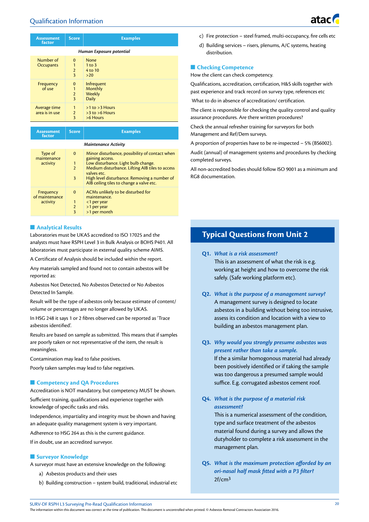| <b>Assessment</b><br>factor    | <b>Score</b>                                               | <b>Examples</b>                                      |
|--------------------------------|------------------------------------------------------------|------------------------------------------------------|
|                                |                                                            | Human Exposure potential                             |
| Number of<br>Occupants         | $\mathbf{0}$<br>1<br>$\overline{2}$<br>3                   | None<br>$1$ to $3$<br>4 to 10<br>>20                 |
| Frequency<br>of use            | $\bf{0}$<br>1<br>$\overline{2}$<br>$\overline{\mathbf{3}}$ | Infrequent<br>Monthly<br>Weekly<br><b>Daily</b>      |
| Average time<br>area is in use | 1<br>$\overline{2}$<br>3                                   | $>1$ to $>3$ Hours<br>$>3$ to $>6$ Hours<br>>6 Hours |

| <b>Assessment</b><br>factor             | <b>Score</b>                                       | <b>Examples</b>                                                                                                                                                                                                                                                        |  |  |
|-----------------------------------------|----------------------------------------------------|------------------------------------------------------------------------------------------------------------------------------------------------------------------------------------------------------------------------------------------------------------------------|--|--|
| Maintenance Activity                    |                                                    |                                                                                                                                                                                                                                                                        |  |  |
| Type of<br>maintenance<br>activity      | $\mathbf 0$<br>$\mathbf{1}$<br>$\overline{2}$<br>3 | Minor disturbance, possibility of contact when<br>gaining access.<br>Low disturbance. Light bulb change.<br>Medium disturbance. Lifting AIB tiles to access<br>valves etc.<br>High level disturbance. Removing a number of<br>AIB ceiling tiles to change a valve etc. |  |  |
| Frequency<br>of maintenance<br>activity | $\Omega$<br>1<br>$\overline{2}$<br>3               | ACMs unlikely to be disturbed for<br>maintenance.<br><1 per year<br>>1 per year<br>>1 per month                                                                                                                                                                        |  |  |

#### **n** Analytical Results

Laboratories must be UKAS accredited to ISO 17025 and the analysts must have RSPH Level 3 in Bulk Analysis or BOHS P401. All laboratories must participate in external quality scheme AIMS.

A Certificate of Analysis should be included within the report.

Any materials sampled and found not to contain asbestos will be reported as:

Asbestos Not Detected, No Asbestos Detected or No Asbestos Detected In Sample.

Result will be the type of asbestos only because estimate of content/ volume or percentages are no longer allowed by UKAS.

In HSG 248 it says 1 or 2 fibres observed can be reported as 'Trace asbestos identified'.

Results are based on sample as submitted. This means that if samples are poorly taken or not representative of the item, the result is meaningless.

Contamination may lead to false positives.

Poorly taken samples may lead to false negatives.

#### **n** Competency and QA Procedures

Accreditation is NOT mandatory, but competency MUST be shown.

Sufficient training, qualifications and experience together with knowledge of specific tasks and risks.

Independence, impartiality and integrity must be shown and having an adequate quality management system is very important.

Adherence to HSG 264 as this is the current guidance.

If in doubt, use an accredited surveyor.

#### **n** Surveyor Knowledge

A surveyor must have an extensive knowledge on the following:

- a) Asbestos products and their uses
- b) Building construction system build, traditional, industrial etc
- c) Fire protection steel framed, multi-occupancy, fire cells etc
- d) Building services risers, plenums, A/C systems, heating distribution.

#### **n** Checking Competence

How the client can check competency.

Qualifications, accreditation, certification, H&S skills together with past experience and track record on survey type, references etc

What to do in absence of accreditation/ certification.

The client is responsible for checking the quality control and quality assurance procedures. Are there written procedures?

Check the annual refresher training for surveyors for both Management and Ref/Dem surveys.

A proportion of properties have to be re-inspected – 5% (BS6002).

Audit (annual) of management systems and procedures by checking completed surveys.

All non-accredited bodies should follow ISO 9001 as a minimum and RG8 documentation.

## **Typical Questions from Unit 2**

**Q1.** *What is a risk assessment?*

This is an assessment of what the risk is e.g. working at height and how to overcome the risk safely. (Safe working platform etc).

- **Q2.** *What is the purpose of a management survey?* A management survey is designed to locate asbestos in a building without being too intrusive, assess its condition and location with a view to building an asbestos management plan.
- **Q3.** *Why would you strongly presume asbestos was present rather than take a sample.*

If the a similar homogonous material had already been positively identified or if taking the sample was too dangerous a presumed sample would suffice. E.g. corrugated asbestos cement roof.

**Q4.** *What is the purpose of a material risk assessment?*

> This is a numerical assessment of the condition, type and surface treatment of the asbestos material found during a survey and allows the dutyholder to complete a risk assessment in the management plan.

**Q5.** *What is the maximum protection afforded by an ori-nasal half mask fitted with a P3 filter?* 2f/cm3

SURV-DF RSPH L3 Surveying Pre-Read Qualification Information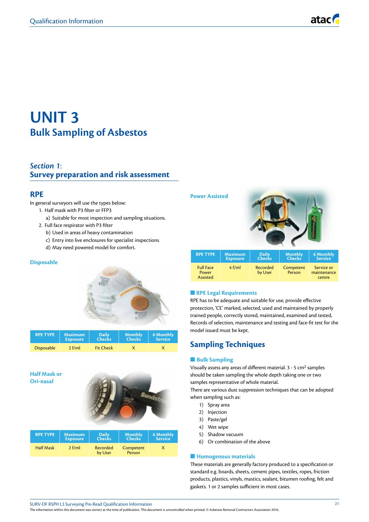## **UNIT 3 Bulk Sampling of Asbestos**

## *Section 1*: **Survey preparation and risk assessment**

#### **RPE**

In general surveyors will use the types below:

- 1. Half mask with P3 filter or FFP3
	- a) Suitable for most inspection and sampling situations.
- 2. Full face respirator with P3 filter
	- b) Used in areas of heavy contamination
	- c) Entry into live enclosures for specialist inspections
	- d) May need powered model for comfort.

#### **Disposable**



| <b>RPE TYPE</b>   | <b>Maximum</b>  | <b>Daily</b>     | <b>Monthly</b> | 6 Monthly      |
|-------------------|-----------------|------------------|----------------|----------------|
|                   | <b>Exposure</b> | <b>Checks</b>    | <b>Checks</b>  | <b>Service</b> |
| <b>Disposable</b> | $2$ f/ml        | <b>Fit Check</b> |                |                |

#### **Half Mask or Ori-nasal**



| <b>RPE TYPE</b>  | <b>Maximum</b><br><b>Exposure</b> | <b>Daily</b><br><b>Checks</b> | <b>Monthly</b><br>Checks | <b>6 Monthly</b><br><b>Service</b> |
|------------------|-----------------------------------|-------------------------------|--------------------------|------------------------------------|
| <b>Half Mask</b> | 2 f/ml                            | Recorded<br>by User           | Competent<br>Person      |                                    |

#### **Power Assisted**



| <b>RPE TYPE</b>                       | <b>Maximum</b>  | <b>Daily</b>        | <b>Monthly</b>      | <b>6 Monthly</b>                    |
|---------------------------------------|-----------------|---------------------|---------------------|-------------------------------------|
|                                       | <b>Exposure</b> | <b>Checks</b>       | <b>Checks</b>       | <b>Service</b>                      |
| <b>Full Face</b><br>Power<br>Assisted | $4$ f/ml        | Recorded<br>by User | Competent<br>Person | Service or<br>maintenance<br>centre |

#### **n** RPE Legal Requirements

RPE has to be adequate and suitable for use, provide effective protection, 'CE' marked, selected, used and maintained by properly trained people, correctly stored, maintained, examined and tested, Records of selection, maintenance and testing and face-fit test for the model issued must be kept.

## **Sampling Techniques**

#### **n** Bulk Sampling

Visually assess any areas of different material. 3 - 5 cm2 samples should be taken sampling the whole depth taking one or two samples representative of whole material.

There are various dust suppression techniques that can be adopted when sampling such as:

- 1) Spray area
- 2) Injection
- 3) Paste/gel
- 4) Wet wipe
- 5) Shadow vacuum
- 6) Or combination of the above

#### **Homogenous materials**

These materials are generally factory produced to a specification or standard e.g. boards, sheets, cement pipes, textiles, ropes, friction products, plastics, vinyls, mastics, sealant, bitumen roofing, felt and gaskets. 1 or 2 samples sufficient in most cases.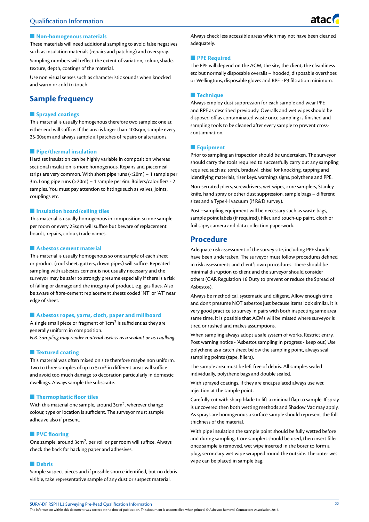

#### **Non-homogenous materials**

These materials will need additional sampling to avoid false negatives such as insulation materials (repairs and patching) and overspray.

Sampling numbers will reflect the extent of variation, colour, shade, texture, depth, coatings of the material.

Use non visual senses such as characteristic sounds when knocked and warm or cold to touch.

## **Sample frequency**

#### **n** Sprayed coatings

This material is usually homogenous therefore two samples; one at either end will suffice. If the area is larger than 100sqm, sample every 25-30sqm and always sample all patches of repairs or alterations.

#### **n** Pipe/thermal insulation

Hard set insulation can be highly variable in composition whereas sectional insulation is more homogenous. Repairs and piecemeal strips are very common. With short pipe runs (<20m) – 1 sample per 3m. Long pipe runs (>20m) – 1 sample per 6m. Boilers/calorifiers - 2 samples. You must pay attention to fittings such as valves, joints, couplings etc.

#### $\blacksquare$  Insulation board/ceiling tiles

This material is usually homogenous in composition so one sample per room or every 25sqm will suffice but beware of replacement boards, repairs, colour, trade names.

#### **n** Asbestos cement material

This material is usually homogenous so one sample of each sheet or product (roof sheet, gutters, down pipes) will suffice. Repeated sampling with asbestos cement is not usually necessary and the surveyor may be safer to strongly presume especially if there is a risk of falling or damage and the integrity of product, e.g. gas flues. Also be aware of fibre-cement replacement sheets coded 'NT' or 'AT' near edge of sheet.

#### **n** Asbestos ropes, yarns, cloth, paper and millboard

A single small piece or fragment of 1cm2 is sufficient as they are generally uniform in composition.

*N.B. Sampling may render material useless as a sealant or as caulking.*

#### **n** Textured coating

This material was often mixed on site therefore maybe non uniform. Two to three samples of up to 5cm2 in different areas will suffice and avoid too much damage to decoration particularly in domestic dwellings. Always sample the substraite.

#### **n** Thermoplastic floor tiles

With this material one sample, around 3cm2, wherever change colour, type or location is sufficient. The surveyor must sample adhesive also if present.

#### **N** PVC flooring

One sample, around 3cm2, per roll or per room will suffice. Always check the back for backing paper and adhesives.

#### **n** Debris

Sample suspect pieces and if possible source identified, but no debris visible, take representative sample of any dust or suspect material.

Always check less accessible areas which may not have been cleaned adequately.

#### **n PPE Required**

The PPE will depend on the ACM, the site, the client, the cleanliness etc but normally disposable overalls – hooded, disposable overshoes or Wellingtons, disposable gloves and RPE - P3 filtration minimum.

#### **n** Technique

Always employ dust suppression for each sample and wear PPE and RPE as described previously. Overalls and wet wipes should be disposed off as contaminated waste once sampling is finished and sampling tools to be cleaned after every sample to prevent crosscontamination.

#### **n** Equipment

Prior to sampling an inspection should be undertaken. The surveyor should carry the tools required to successfully carry out any sampling required such as: torch, bradawl, chisel for knocking, tapping and identifying materials, riser keys, warnings signs, polythene and PPE.

Non-serrated pliers, screwdrivers, wet wipes, core samplers, Stanley knife, hand spray or other dust suppression, sample bags – different sizes and a Type-H vacuum (if R&D survey).

Post –sampling equipment will be necessary such as waste bags, sample point labels (if required), filler, and touch-up paint, cloth or foil tape, camera and data collection paperwork.

#### **Procedure**

Adequate risk assessment of the survey site, including PPE should have been undertaken. The surveyor must follow procedures defined in risk assessments and client's own procedures. There should be minimal disruption to client and the surveyor should consider others (CAR Regulation 16 Duty to prevent or reduce the Spread of Asbestos).

Always be methodical, systematic and diligent. Allow enough time and don't presume NOT asbestos just because items look similar. It is very good practice to survey in pairs with both inspecting same area same time. It is possible that ACMs will be missed where surveyor is tired or rushed and makes assumptions.

When sampling always adopt a safe system of works. Restrict entry, Post warning notice - 'Asbestos sampling in progress - keep out', Use polythene as a catch sheet below the sampling point, always seal sampling points (tape, fillers).

The sample area must be left free of debris. All samples sealed individually, polythene bags and double sealed.

With sprayed coatings, if they are encapsulated always use wet injection at the sample point.

Carefully cut with sharp blade to lift a minimal flap to sample. If spray is uncovered then both wetting methods and Shadow Vac may apply. As sprays are homogenous a surface sample should represent the full thickness of the material.

With pipe insulation the sample point should be fully wetted before and during sampling. Core samplers should be used, then insert filler once sample is removed, wet wipe inserted in the borer to form a plug, secondary wet wipe wrapped round the outside. The outer wet wipe can be placed in sample bag.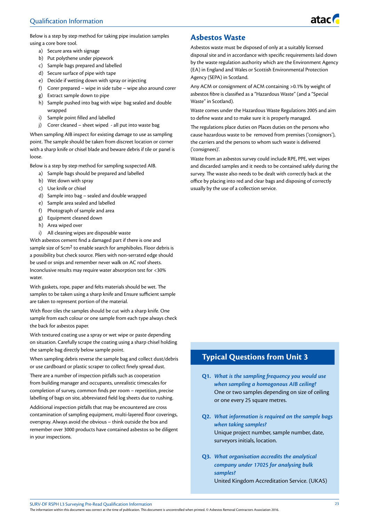Below is a step by step method for taking pipe insulation samples using a core bore tool.

- a) Secure area with signage
- b) Put polythene under pipework
- c) Sample bags prepared and labelled
- d) Secure surface of pipe with tape
- e) Decide if wetting down with spray or injecting
- f) Corer prepared wipe in side tube wipe also around corer
- g) Extract sample down to pipe
- h) Sample pushed into bag with wipe bag sealed and double wrapped
- i) Sample point filled and labelled
- j) Corer cleaned sheet wiped all put into waste bag

When sampling AIB inspect for existing damage to use as sampling point. The sample should be taken from discreet location or corner with a sharp knife or chisel blade and beware debris if tile or panel is loose.

Below is a step by step method for sampling suspected AIB.

- a) Sample bags should be prepared and labelled
- b) Wet down with spray
- c) Use knife or chisel
- d) Sample into bag sealed and double wrapped
- e) Sample area sealed and labelled
- f) Photograph of sample and area
- g) Equipment cleaned down
- h) Area wiped over
- i) All cleaning wipes are disposable waste

With asbestos cement find a damaged part if there is one and sample size of 5cm2 to enable search for amphiboles. Floor debris is a possibility but check source. Pliers with non-serrated edge should be used or snips and remember never walk on AC roof sheets. Inconclusive results may require water absorption test for <30% water

With gaskets, rope, paper and felts materials should be wet. The samples to be taken using a sharp knife and Ensure sufficient sample are taken to represent portion of the material.

With floor tiles the samples should be cut with a sharp knife. One sample from each colour or one sample from each type always check the back for asbestos paper.

With textured coating use a spray or wet wipe or paste depending on situation. Carefully scrape the coating using a sharp chisel holding the sample bag directly below sample point.

When sampling debris reverse the sample bag and collect dust/debris or use cardboard or plastic scraper to collect finely spread dust.

There are a number of inspection pitfalls such as cooperation from building manager and occupants, unrealistic timescales for completion of survey, common finds per room – repetition, precise labelling of bags on site, abbreviated field log sheets due to rushing.

Additional inspection pitfalls that may be encountered are cross contamination of sampling equipment, multi-layered floor coverings, overspray. Always avoid the obvious – think outside the box and remember over 3000 products have contained asbestos so be diligent in your inspections.

## **Asbestos Waste**

Asbestos waste must be disposed of only at a suitably licensed disposal site and in accordance with specific requirements laid down by the waste regulation authority which are the Environment Agency (EA) in England and Wales or Scottish Environmental Protection Agency (SEPA) in Scotland.

Any ACM or consignment of ACM containing >0.1% by weight of asbestos fibre is classified as a "Hazardous Waste" (and a "Special Waste" in Scotland).

Waste comes under the Hazardous Waste Regulations 2005 and aim to define waste and to make sure it is properly managed.

The regulations place duties on Places duties on the persons who cause hazardous waste to be removed from premises ('consignors'), the carriers and the persons to whom such waste is delivered ('consignees)'.

Waste from an asbestos survey could include RPE, PPE, wet wipes and discarded samples and it needs to be contained safely during the survey. The waste also needs to be dealt with correctly back at the office by placing into red and clear bags and disposing of correctly usually by the use of a collection service.

## **Typical Questions from Unit 3**

- **Q1.** *What is the sampling frequency you would use when sampling a homogonous AIB ceiling?* One or two samples depending on size of ceiling or one every 25 square metres.
- **Q2.** *What information is required on the sample bags when taking samples?* Unique project number, sample number, date, surveyors initials, location.
- **Q3.** *What organisation accredits the analytical company under 17025 for analysing bulk samples?* United Kingdom Accreditation Service. (UKAS)

SURV-DF RSPH L3 Surveying Pre-Read Qualification Information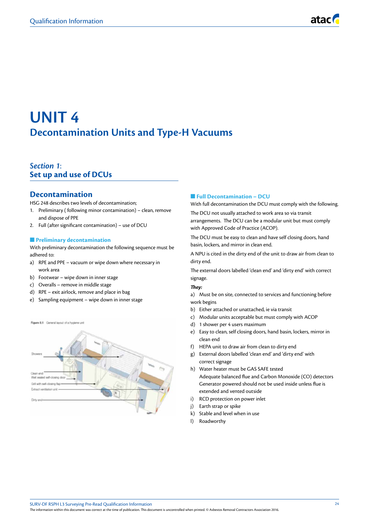## **UNIT 4 Decontamination Units and Type-H Vacuums**

## *Section 1*: **Set up and use of DCUs**

## **Decontamination**

HSG 248 describes two levels of decontamination;

- 1. Preliminary ( following minor contamination) clean, remove and dispose of PPE
- 2. Full (after significant contamination) use of DCU

#### **n** Preliminary decontamination

With preliminary decontamination the following sequence must be adhered to:

- a) RPE and PPE vacuum or wipe down where necessary in work area
- b) Footwear wipe down in inner stage
- c) Overalls remove in middle stage
- d) RPE exit airlock, remove and place in bag
- e) Sampling equipment wipe down in inner stage

Figure 8.1 General layout of a hygiene uni Gell with self-closing flat Petrant ventilation unit

#### **n** Full Decontamination – DCU

With full decontamination the DCU must comply with the following.

The DCU not usually attached to work area so via transit arrangements. The DCU can be a modular unit but must comply with Approved Code of Practice (ACOP).

The DCU must be easy to clean and have self closing doors, hand basin, lockers, and mirror in clean end.

A NPU is cited in the dirty end of the unit to draw air from clean to dirty end.

The external doors labelled 'clean end' and 'dirty end' with correct signage.

#### *They:*

a) Must be on site, connected to services and functioning before work begins

- b) Either attached or unattached, ie via transit
- c) Modular units acceptable but must comply with ACOP
- d) 1 shower per 4 users maximum
- e) Easy to clean, self closing doors, hand basin, lockers, mirror in clean end
- f) HEPA unit to draw air from clean to dirty end
- g) External doors labelled 'clean end' and 'dirty end' with correct signage
- h) Water heater must be GAS SAFE tested Adequate balanced flue and Carbon Monoxide (CO) detectors Generator powered should not be used inside unless flue is extended and vented outside
- i) RCD protection on power inlet
- j) Earth strap or spike
- k) Stable and level when in use
- l) Roadworthy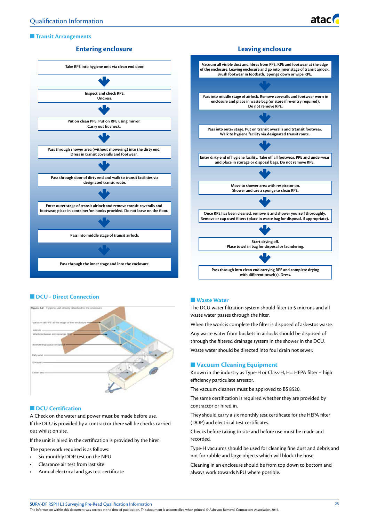

#### **n** Transit Arrangements

#### **Entering enclosure**





#### **n** DCU - Direct Connection



#### **n** DCU Certification

A Check on the water and power must be made before use. If the DCU is provided by a contractor there will be checks carried out whilst on site.

If the unit is hired in the certification is provided by the hirer.

The paperwork required is as follows:

- Six monthly DOP test on the NPU
- Clearance air test from last site
- Annual electrical and gas test certificate

#### **Naste Water**

The DCU water filtration system should filter to 5 microns and all waste water passes through the filter.

When the work is complete the filter is disposed of asbestos waste.

Any waste water from buckets in airlocks should be disposed of through the filtered drainage system in the shower in the DCU. Waste water should be directed into foul drain not sewer.

#### **N** Vacuum Cleaning Equipment

Known in the industry as Type-H or Class-H, H= HEPA filter – high efficiency particulate arrestor.

The vacuum cleaners must be approved to BS 8520.

The same certification is required whether they are provided by contractor or hired in.

They should carry a six monthly test certificate for the HEPA filter (DOP) and electrical test certificates.

Checks before taking to site and before use must be made and recorded.

Type-H vacuums should be used for cleaning fine dust and debris and not for rubble and large objects which will block the hose.

Cleaning in an enclosure should be from top down to bottom and always work towards NPU where possible.